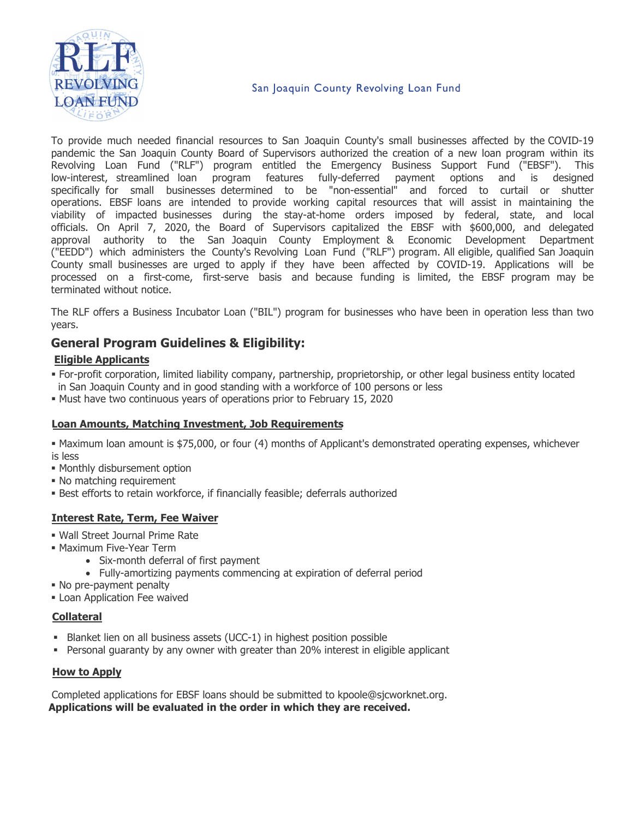

### San Joaquin County Revolving Loan Fund

To provide much needed financial resources to San Joaquin County's small businesses affected by the COVID-19 pandemic the San Joaquin County Board of Supervisors authorized the creation of a new loan program within its Revolving Loan Fund ("RLF") program entitled the Emergency Business Support Fund ("EBSF"). This low-interest, streamlined loan program features fully-deferred payment options and is designed specifically for small businesses determined to be "non-essential" and forced to curtail or shutter operations. EBSF loans are intended to provide working capital resources that will assist in maintaining the viability of impacted businesses during the stay-at-home orders imposed by federal, state, and local officials. On April 7, 2020, the Board of Supervisors capitalized the EBSF with \$600,000, and delegated approval authority to the San Joaquin County Employment & Economic Development Department ("EEDD") which administers the County's Revolving Loan Fund ("RLF") program. All eligible, qualified San Joaquin County small businesses are urged to apply if they have been affected by COVID-19. Applications will be processed on a first-come, first-serve basis and because funding is limited, the EBSF program may be terminated without notice.

The RLF offers a Business Incubator Loan ("BIL") program for businesses who have been in operation less than two years.

## **General Program Guidelines & Eligibility:**

#### **Eligible Applicants**

- For-profit corporation, limited liability company, partnership, proprietorship, or other legal business entity located in San Joaquin County and in good standing with a workforce of 100 persons or less
- Must have two continuous years of operations prior to February 15, 2020

#### **Loan Amounts, Matching Investment, Job Requirements**

- Maximum loan amount is \$75,000, or four (4) months of Applicant's demonstrated operating expenses, whichever is less
- Monthly disbursement option
- No matching requirement
- Best efforts to retain workforce, if financially feasible; deferrals authorized

### **Interest Rate, Term, Fee Waiver**

- Wall Street Journal Prime Rate
- Maximum Five-Year Term
	- Six-month deferral of first payment
	- Fully-amortizing payments commencing at expiration of deferral period
- No pre-payment penalty
- **Loan Application Fee waived**

### **Collateral**

- Blanket lien on all business assets (UCC-1) in highest position possible
- Personal guaranty by any owner with greater than 20% interest in eligible applicant

### **How to Apply**

Completed applications for EBSF loans should be submitted to kpoole@sjcworknet.org. **Applications will be evaluated in the order in which they are received.**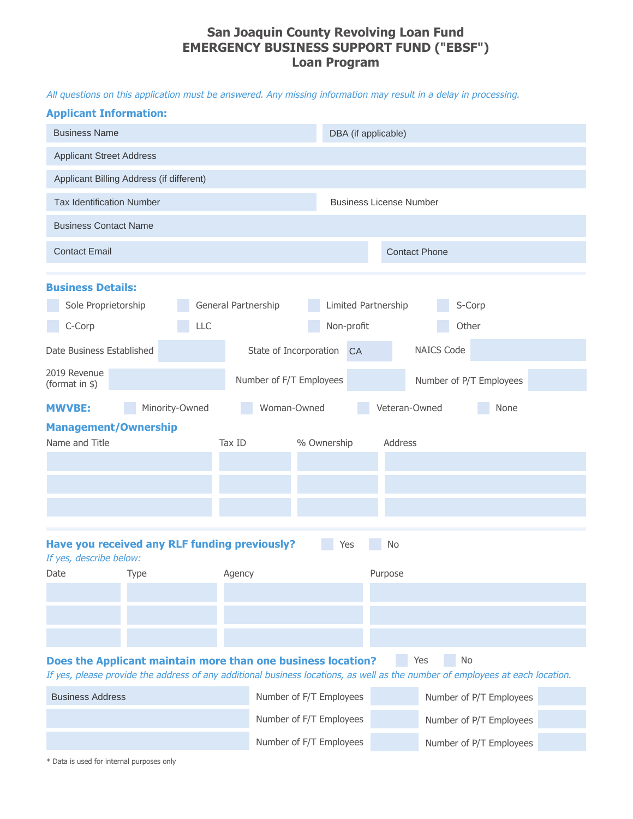## **San Joaquin County Revolving Loan Fund EMERGENCY BUSINESS SUPPORT FUND ("EBSF") Loan Program**

All questions on this application must be answered. Any missing information may result in a delay in processing.

| <b>Applicant Information:</b>                                                                                                                                                                              |                |        |                                |                     |                         |                         |  |
|------------------------------------------------------------------------------------------------------------------------------------------------------------------------------------------------------------|----------------|--------|--------------------------------|---------------------|-------------------------|-------------------------|--|
| <b>Business Name</b>                                                                                                                                                                                       |                |        |                                | DBA (if applicable) |                         |                         |  |
| <b>Applicant Street Address</b>                                                                                                                                                                            |                |        |                                |                     |                         |                         |  |
| Applicant Billing Address (if different)                                                                                                                                                                   |                |        |                                |                     |                         |                         |  |
| <b>Tax Identification Number</b>                                                                                                                                                                           |                |        | <b>Business License Number</b> |                     |                         |                         |  |
| <b>Business Contact Name</b>                                                                                                                                                                               |                |        |                                |                     |                         |                         |  |
| <b>Contact Email</b>                                                                                                                                                                                       |                |        |                                |                     | <b>Contact Phone</b>    |                         |  |
| <b>Business Details:</b>                                                                                                                                                                                   |                |        |                                |                     |                         |                         |  |
| General Partnership<br>Limited Partnership<br>Sole Proprietorship<br>S-Corp                                                                                                                                |                |        |                                |                     |                         |                         |  |
| C-Corp                                                                                                                                                                                                     |                | LLC    |                                | Non-profit          | Other                   |                         |  |
| Date Business Established                                                                                                                                                                                  |                |        | State of Incorporation         | <b>CA</b>           | <b>NAICS Code</b>       |                         |  |
| 2019 Revenue<br>(format in \$)                                                                                                                                                                             |                |        | Number of F/T Employees        |                     | Number of P/T Employees |                         |  |
| <b>MWVBE:</b>                                                                                                                                                                                              | Minority-Owned |        | Woman-Owned                    |                     | Veteran-Owned           | None                    |  |
| <b>Management/Ownership</b>                                                                                                                                                                                |                |        |                                |                     |                         |                         |  |
| Name and Title                                                                                                                                                                                             |                | Tax ID |                                | % Ownership         | Address                 |                         |  |
|                                                                                                                                                                                                            |                |        |                                |                     |                         |                         |  |
|                                                                                                                                                                                                            |                |        |                                |                     |                         |                         |  |
|                                                                                                                                                                                                            |                |        |                                |                     |                         |                         |  |
| Have you received any RLF funding previously?<br>Yes<br>No<br>If yes, describe below:                                                                                                                      |                |        |                                |                     |                         |                         |  |
| Date                                                                                                                                                                                                       | Type<br>Agency |        |                                |                     | Purpose                 |                         |  |
|                                                                                                                                                                                                            |                |        |                                |                     |                         |                         |  |
|                                                                                                                                                                                                            |                |        |                                |                     |                         |                         |  |
|                                                                                                                                                                                                            |                |        |                                |                     |                         |                         |  |
| Does the Applicant maintain more than one business location?<br>Yes<br>No<br>If yes, please provide the address of any additional business locations, as well as the number of employees at each location. |                |        |                                |                     |                         |                         |  |
| <b>Business Address</b>                                                                                                                                                                                    |                |        | Number of F/T Employees        |                     |                         | Number of P/T Employees |  |
|                                                                                                                                                                                                            |                |        | Number of F/T Employees        |                     | Number of P/T Employees |                         |  |
|                                                                                                                                                                                                            |                |        | Number of F/T Employees        |                     | Number of P/T Employees |                         |  |

\* Data is used for internal purposes only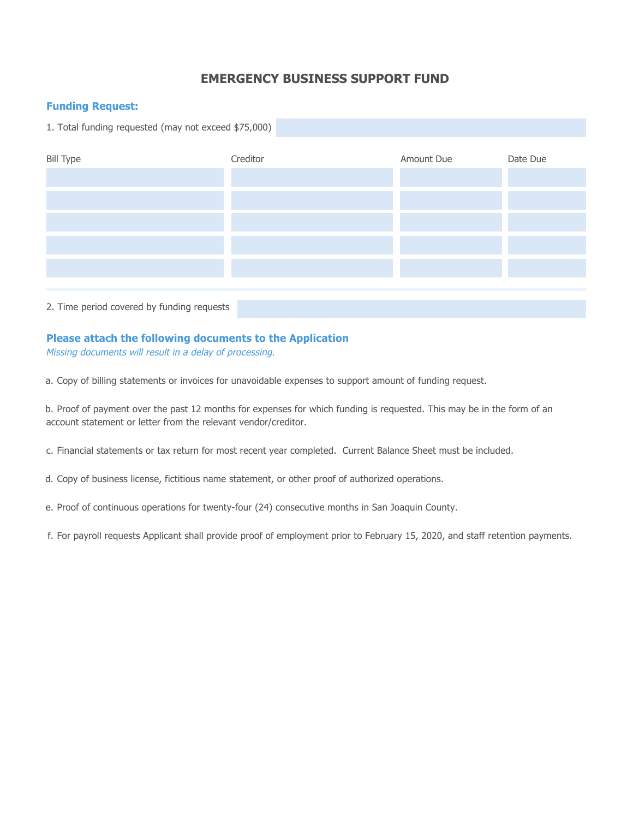## **EMERGENCY BUSINESS SUPPORT FUND**

#### **Funding Request:**

1. Total funding requested (may not exceed \$75,000)



#### **Please attach the following documents to the Application**

Missing documents will result in a delay of processing.

a. Copy of billing statements or invoices for unavoidable expenses to support amount of funding request.

b. Proof of payment over the past 12 months for expenses for which funding is requested. This may be in the form of an account statement or letter from the relevant vendor/creditor.

c. Financial statements or tax return for most recent year completed. Current Balance Sheet must be included.

d. Copy of business license, fictitious name statement, or other proof of authorized operations.

e. Proof of continuous operations for twenty-four (24) consecutive months in San Joaquin County.

f. For payroll requests Applicant shall provide proof of employment prior to February 15, 2020, and staff retention payments.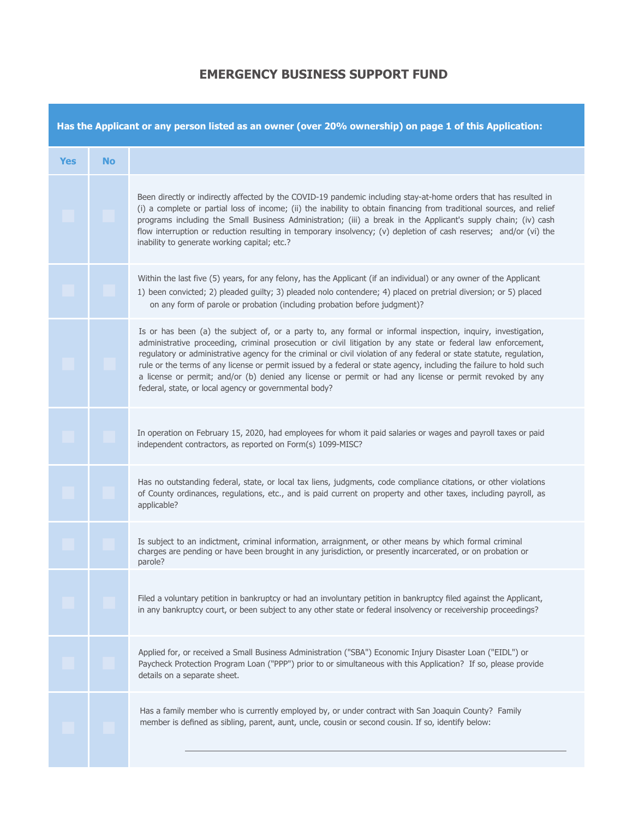### **EMERGENCY BUSINESS SUPPORT FUND**

| Has the Applicant or any person listed as an owner (over 20% ownership) on page 1 of this Application: |           |                                                                                                                                                                                                                                                                                                                                                                                                                                                                                                                                                                                                                                                 |  |  |  |  |
|--------------------------------------------------------------------------------------------------------|-----------|-------------------------------------------------------------------------------------------------------------------------------------------------------------------------------------------------------------------------------------------------------------------------------------------------------------------------------------------------------------------------------------------------------------------------------------------------------------------------------------------------------------------------------------------------------------------------------------------------------------------------------------------------|--|--|--|--|
| <b>Yes</b>                                                                                             | <b>No</b> |                                                                                                                                                                                                                                                                                                                                                                                                                                                                                                                                                                                                                                                 |  |  |  |  |
|                                                                                                        |           | Been directly or indirectly affected by the COVID-19 pandemic including stay-at-home orders that has resulted in<br>(i) a complete or partial loss of income; (ii) the inability to obtain financing from traditional sources, and relief<br>programs including the Small Business Administration; (iii) a break in the Applicant's supply chain; (iv) cash<br>flow interruption or reduction resulting in temporary insolvency; (v) depletion of cash reserves; and/or (vi) the<br>inability to generate working capital; etc.?                                                                                                                |  |  |  |  |
|                                                                                                        |           | Within the last five (5) years, for any felony, has the Applicant (if an individual) or any owner of the Applicant<br>1) been convicted; 2) pleaded guilty; 3) pleaded nolo contendere; 4) placed on pretrial diversion; or 5) placed<br>on any form of parole or probation (including probation before judgment)?                                                                                                                                                                                                                                                                                                                              |  |  |  |  |
|                                                                                                        |           | Is or has been (a) the subject of, or a party to, any formal or informal inspection, inquiry, investigation,<br>administrative proceeding, criminal prosecution or civil litigation by any state or federal law enforcement,<br>regulatory or administrative agency for the criminal or civil violation of any federal or state statute, regulation,<br>rule or the terms of any license or permit issued by a federal or state agency, including the failure to hold such<br>a license or permit; and/or (b) denied any license or permit or had any license or permit revoked by any<br>federal, state, or local agency or governmental body? |  |  |  |  |
|                                                                                                        |           | In operation on February 15, 2020, had employees for whom it paid salaries or wages and payroll taxes or paid<br>independent contractors, as reported on Form(s) 1099-MISC?                                                                                                                                                                                                                                                                                                                                                                                                                                                                     |  |  |  |  |
|                                                                                                        |           | Has no outstanding federal, state, or local tax liens, judgments, code compliance citations, or other violations<br>of County ordinances, regulations, etc., and is paid current on property and other taxes, including payroll, as<br>applicable?                                                                                                                                                                                                                                                                                                                                                                                              |  |  |  |  |
|                                                                                                        |           | Is subject to an indictment, criminal information, arraignment, or other means by which formal criminal<br>charges are pending or have been brought in any jurisdiction, or presently incarcerated, or on probation or<br>parole?                                                                                                                                                                                                                                                                                                                                                                                                               |  |  |  |  |
|                                                                                                        |           | Filed a voluntary petition in bankruptcy or had an involuntary petition in bankruptcy filed against the Applicant,<br>in any bankruptcy court, or been subject to any other state or federal insolvency or receivership proceedings?                                                                                                                                                                                                                                                                                                                                                                                                            |  |  |  |  |
|                                                                                                        |           | Applied for, or received a Small Business Administration ("SBA") Economic Injury Disaster Loan ("EIDL") or<br>Paycheck Protection Program Loan ("PPP") prior to or simultaneous with this Application? If so, please provide<br>details on a separate sheet.                                                                                                                                                                                                                                                                                                                                                                                    |  |  |  |  |
|                                                                                                        |           | Has a family member who is currently employed by, or under contract with San Joaquin County? Family<br>member is defined as sibling, parent, aunt, uncle, cousin or second cousin. If so, identify below:                                                                                                                                                                                                                                                                                                                                                                                                                                       |  |  |  |  |